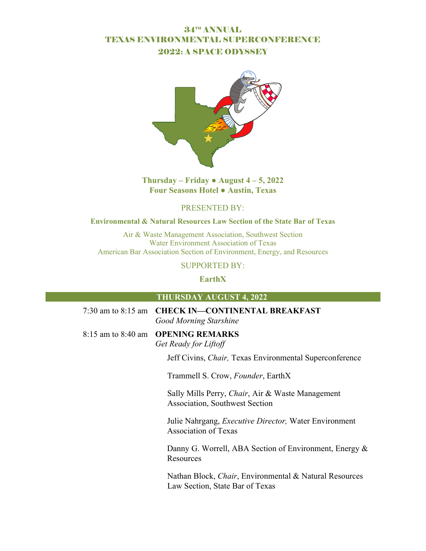# 34TH ANNUAL TEXAS ENVIRONMENTAL SUPERCONFERENCE 2022: A SPACE ODYSSEY



# **Thursday – Friday • August**  $4 - 5$ **, 2022 Four Seasons Hotel ● Austin, Texas**

# PRESENTED BY:

#### **Environmental & Natural Resources Law Section of the State Bar of Texas**

Air & Waste Management Association, Southwest Section Water Environment Association of Texas American Bar Association Section of Environment, Energy, and Resources

## SUPPORTED BY:

**EarthX** 

### **THURSDAY AUGUST 4, 2022**

| 7:30 am to 8:15 am CHECK IN-CONTINENTAL BREAKFAST<br><b>Good Morning Starshine</b>                |
|---------------------------------------------------------------------------------------------------|
| 8:15 am to 8:40 am OPENING REMARKS<br>Get Ready for Liftoff                                       |
| Jeff Civins, <i>Chair</i> , Texas Environmental Superconference                                   |
| Trammell S. Crow, Founder, EarthX                                                                 |
| Sally Mills Perry, Chair, Air & Waste Management<br><b>Association, Southwest Section</b>         |
| Julie Nahrgang, <i>Executive Director</i> , Water Environment<br><b>Association of Texas</b>      |
| Danny G. Worrell, ABA Section of Environment, Energy &<br>Resources                               |
| Nathan Block, <i>Chair</i> , Environmental & Natural Resources<br>Law Section, State Bar of Texas |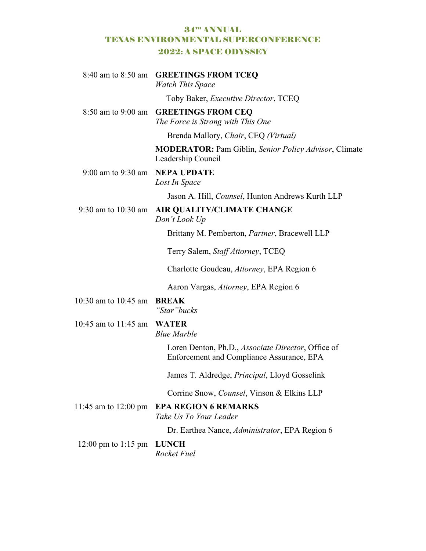# 34TH ANNUAL TEXAS ENVIRONMENTAL SUPERCONFERENCE 2022: A SPACE ODYSSEY

|                                | 8:40 am to 8:50 am GREETINGS FROM TCEQ<br><b>Watch This Space</b>                               |
|--------------------------------|-------------------------------------------------------------------------------------------------|
|                                | Toby Baker, <i>Executive Director</i> , TCEQ                                                    |
| $8:50$ am to $9:00$ am         | <b>GREETINGS FROM CEQ</b><br>The Force is Strong with This One                                  |
|                                | Brenda Mallory, Chair, CEQ (Virtual)                                                            |
|                                | <b>MODERATOR:</b> Pam Giblin, Senior Policy Advisor, Climate<br>Leadership Council              |
| 9:00 am to 9:30 am NEPA UPDATE | Lost In Space                                                                                   |
|                                | Jason A. Hill, <i>Counsel</i> , Hunton Andrews Kurth LLP                                        |
| 9:30 am to $10:30$ am          | <b>AIR QUALITY/CLIMATE CHANGE</b><br>Don't Look Up                                              |
|                                | Brittany M. Pemberton, Partner, Bracewell LLP                                                   |
|                                | Terry Salem, Staff Attorney, TCEQ                                                               |
|                                | Charlotte Goudeau, Attorney, EPA Region 6                                                       |
|                                | Aaron Vargas, Attorney, EPA Region 6                                                            |
| 10:30 am to 10:45 am           | <b>BREAK</b><br>"Star" bucks                                                                    |
| 10:45 am to 11:45 am           | <b>WATER</b><br><b>Blue Marble</b>                                                              |
|                                | Loren Denton, Ph.D., Associate Director, Office of<br>Enforcement and Compliance Assurance, EPA |
|                                | James T. Aldredge, <i>Principal</i> , Lloyd Gosselink                                           |
|                                | Corrine Snow, <i>Counsel</i> , Vinson & Elkins LLP                                              |
| 11:45 am to $12:00 \text{ pm}$ | <b>EPA REGION 6 REMARKS</b><br>Take Us To Your Leader                                           |
|                                | Dr. Earthea Nance, Administrator, EPA Region 6                                                  |
| 12:00 pm to 1:15 pm            | <b>LUNCH</b><br><b>Rocket Fuel</b>                                                              |
|                                |                                                                                                 |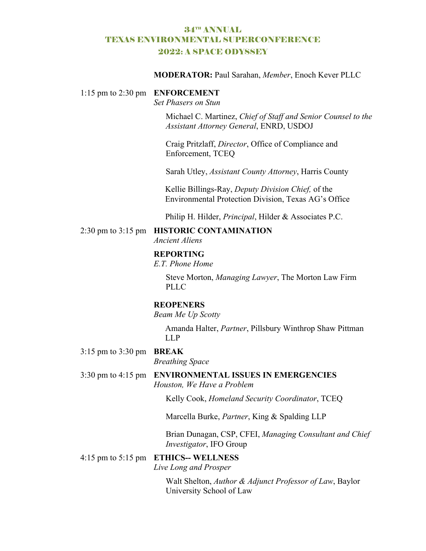# 34TH ANNUAL TEXAS ENVIRONMENTAL SUPERCONFERENCE 2022: A SPACE ODYSSEY

#### **MODERATOR:** Paul Sarahan, *Member*, Enoch Kever PLLC

#### 1:15 pm to 2:30 pm **ENFORCEMENT**

*Set Phasers on Stun* 

Michael C. Martinez, *Chief of Staff and Senior Counsel to the Assistant Attorney General*, ENRD, USDOJ

Craig Pritzlaff, *Director*, Office of Compliance and Enforcement, TCEQ

Sarah Utley, *Assistant County Attorney*, Harris County

Kellie Billings-Ray, *Deputy Division Chief,* of the Environmental Protection Division, Texas AG's Office

Philip H. Hilder, *Principal*, Hilder & Associates P.C.

#### 2:30 pm to 3:15 pm **HISTORIC CONTAMINATION**

*Ancient Aliens* 

#### **REPORTING**

*E.T. Phone Home* 

Steve Morton, *Managing Lawyer*, The Morton Law Firm PLLC

#### **REOPENERS**

*Beam Me Up Scotty* 

Amanda Halter, *Partner*, Pillsbury Winthrop Shaw Pittman LLP

3:15 pm to 3:30 pm **BREAK** 

*Breathing Space* 

## 3:30 pm to 4:15 pm **ENVIRONMENTAL ISSUES IN EMERGENCIES**  *Houston, We Have a Problem*

Kelly Cook, *Homeland Security Coordinator*, TCEQ

Marcella Burke, *Partner*, King & Spalding LLP

Brian Dunagan, CSP, CFEI, *Managing Consultant and Chief Investigator*, IFO Group

#### 4:15 pm to 5:15 pm **ETHICS-- WELLNESS**

*Live Long and Prosper*

Walt Shelton, *Author & Adjunct Professor of Law*, Baylor University School of Law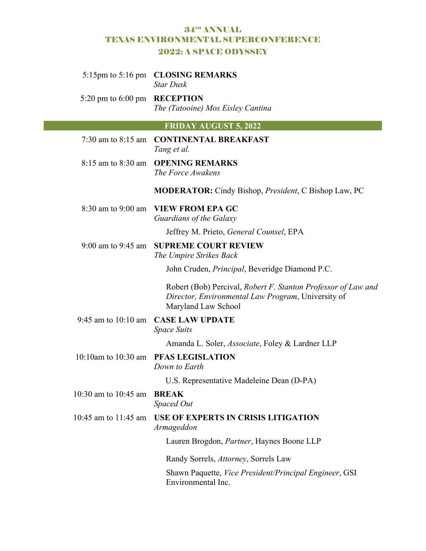## 34TH ANNUAL TEXAS ENVIRONMENTAL SUPERCONFERENCE 2022: A SPACE ODYSSEY

# **FRIDAY AUGUST 5, 2022**  7:30 am to 8:15 am **CONTINENTAL BREAKFAST**  *Tang et al.*  8:15 am to 8:30 am **OPENING REMARKS**  *The Force Awakens*  **MODERATOR:** Cindy Bishop, *President*, C Bishop Law, PC 8:30 am to 9:00 am **VIEW FROM EPA GC**  *Guardians of the Galaxy*  Jeffrey M. Prieto, *General Counsel*, EPA 9:00 am to 9:45 am **SUPREME COURT REVIEW**  *The Umpire Strikes Back* John Cruden, *Principal*, Beveridge Diamond P.C. Robert (Bob) Percival, *Robert F. Stanton Professor of Law and Director, Environmental Law Program*, University of Maryland Law School 9:45 am to 10:10 am **CASE LAW UPDATE**  *Space Suits*  Amanda L. Soler, *Associate*, Foley & Lardner LLP 10:10am to 10:30 am **PFAS LEGISLATION**  *Down to Earth*  U.S. Representative Madeleine Dean (D-PA) 10:30 am to 10:45 am **BREAK**  *Spaced Out* 10:45 am to 11:45 am **USE OF EXPERTS IN CRISIS LITIGATION**  *Armageddon*  Lauren Brogdon, *Partner*, Haynes Boone LLP Randy Sorrels, *Attorney*, Sorrels Law Shawn Paquette, *Vice President/Principal Engineer*, GSI Environmental Inc. 5:15pm to 5:16 pm **CLOSING REMARKS**  *Star Dusk*  5:20 pm to 6:00 pm **RECEPTION**  *The (Tatooine) Mos Eisley Cantina*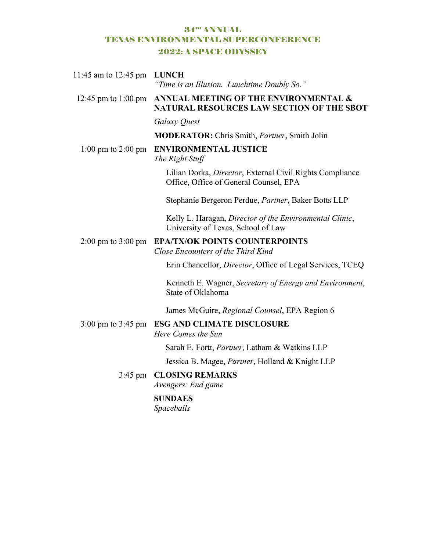# 34TH ANNUAL TEXAS ENVIRONMENTAL SUPERCONFERENCE 2022: A SPACE ODYSSEY

| 11:45 am to 12:45 pm                   | <b>LUNCH</b><br>"Time is an Illusion. Lunchtime Doubly So."                                        |
|----------------------------------------|----------------------------------------------------------------------------------------------------|
| 12:45 pm to 1:00 pm                    | ANNUAL MEETING OF THE ENVIRONMENTAL &<br>NATURAL RESOURCES LAW SECTION OF THE SBOT                 |
|                                        | Galaxy Quest                                                                                       |
|                                        | <b>MODERATOR:</b> Chris Smith, Partner, Smith Jolin                                                |
| $1:00 \text{ pm}$ to $2:00 \text{ pm}$ | <b>ENVIRONMENTAL JUSTICE</b><br>The Right Stuff                                                    |
|                                        | Lilian Dorka, Director, External Civil Rights Compliance<br>Office, Office of General Counsel, EPA |
|                                        | Stephanie Bergeron Perdue, Partner, Baker Botts LLP                                                |
|                                        | Kelly L. Haragan, Director of the Environmental Clinic,<br>University of Texas, School of Law      |
| $2:00 \text{ pm}$ to $3:00 \text{ pm}$ | <b>EPA/TX/OK POINTS COUNTERPOINTS</b><br>Close Encounters of the Third Kind                        |
|                                        | Erin Chancellor, <i>Director</i> , Office of Legal Services, TCEQ                                  |
|                                        | Kenneth E. Wagner, Secretary of Energy and Environment,<br>State of Oklahoma                       |
|                                        | James McGuire, Regional Counsel, EPA Region 6                                                      |
| $3:00 \text{ pm}$ to $3:45 \text{ pm}$ | <b>ESG AND CLIMATE DISCLOSURE</b><br>Here Comes the Sun                                            |
|                                        | Sarah E. Fortt, Partner, Latham & Watkins LLP                                                      |
|                                        | Jessica B. Magee, Partner, Holland & Knight LLP                                                    |
| $3:45$ pm                              | <b>CLOSING REMARKS</b><br>Avengers: End game                                                       |
|                                        | <b>SUNDAES</b><br>Spaceballs                                                                       |
|                                        |                                                                                                    |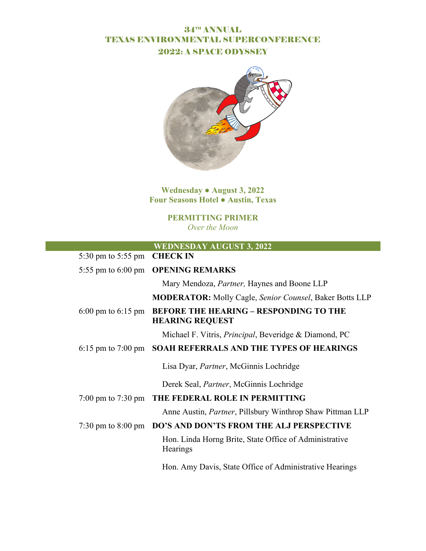# 34TH ANNUAL TEXAS ENVIRONMENTAL SUPERCONFERENCE 2022: A SPACE ODYSSEY



**Wednesday ● August 3, 2022 Four Seasons Hotel ● Austin, Texas** 

> **PERMITTING PRIMER**  *Over the Moon*

> > ×.

|                                        | <b>WEDNESDAY AUGUST 3, 2022</b>                                         |
|----------------------------------------|-------------------------------------------------------------------------|
| 5:30 pm to 5:55 pm CHECK IN            |                                                                         |
|                                        | 5:55 pm to 6:00 pm OPENING REMARKS                                      |
|                                        | Mary Mendoza, Partner, Haynes and Boone LLP                             |
|                                        | <b>MODERATOR:</b> Molly Cagle, Senior Counsel, Baker Botts LLP          |
| 6:00 pm to $6:15$ pm                   | <b>BEFORE THE HEARING - RESPONDING TO THE</b><br><b>HEARING REQUEST</b> |
|                                        | Michael F. Vitris, <i>Principal</i> , Beveridge & Diamond, PC           |
|                                        | 6:15 pm to 7:00 pm SOAH REFERRALS AND THE TYPES OF HEARINGS             |
|                                        | Lisa Dyar, <i>Partner</i> , McGinnis Lochridge                          |
|                                        | Derek Seal, <i>Partner</i> , McGinnis Lochridge                         |
| $7:00 \text{ pm}$ to $7:30 \text{ pm}$ | THE FEDERAL ROLE IN PERMITTING                                          |
|                                        | Anne Austin, <i>Partner</i> , Pillsbury Winthrop Shaw Pittman LLP       |
|                                        | 7:30 pm to 8:00 pm DO'S AND DON'TS FROM THE ALJ PERSPECTIVE             |
|                                        | Hon. Linda Horng Brite, State Office of Administrative<br>Hearings      |
|                                        | Hon. Amy Davis, State Office of Administrative Hearings                 |